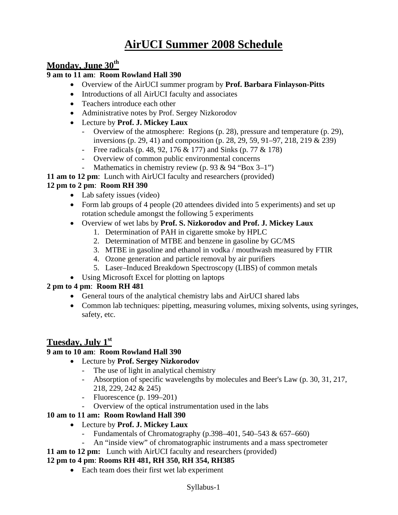# **AirUCI Summer 2008 Schedule**

# **Monday, June 30th**

### **9 am to 11 am**: **Room Rowland Hall 390**

- Overview of the AirUCI summer program by **Prof. Barbara Finlayson-Pitts**
- Introductions of all AirUCI faculty and associates
- Teachers introduce each other
- Administrative notes by Prof. Sergey Nizkorodov
- Lecture by **Prof. J. Mickey Laux**
	- Overview of the atmosphere: Regions (p. 28), pressure and temperature (p. 29), inversions (p. 29, 41) and composition (p. 28, 29, 59, 91–97, 218, 219 & 239)
	- Free radicals (p. 48, 92, 176 & 177) and Sinks (p. 77 & 178)
	- Overview of common public environmental concerns
	- Mathematics in chemistry review (p. 93 & 94 "Box 3–1")
- **11 am to 12 pm**: Lunch with AirUCI faculty and researchers (provided)

# **12 pm to 2 pm**: **Room RH 390**

- Lab safety issues (video)
- Form lab groups of 4 people (20 attendees divided into 5 experiments) and set up rotation schedule amongst the following 5 experiments
- Overview of wet labs by **Prof. S. Nizkorodov and Prof. J. Mickey Laux**
	- 1. Determination of PAH in cigarette smoke by HPLC
	- 2. Determination of MTBE and benzene in gasoline by GC/MS
	- 3. MTBE in gasoline and ethanol in vodka / mouthwash measured by FTIR
	- 4. Ozone generation and particle removal by air purifiers
	- 5. Laser–Induced Breakdown Spectroscopy (LIBS) of common metals
- Using Microsoft Excel for plotting on laptops

### **2 pm to 4 pm**: **Room RH 481**

- General tours of the analytical chemistry labs and AirUCI shared labs
- Common lab techniques: pipetting, measuring volumes, mixing solvents, using syringes, safety, etc.

# **Tuesday, July 1st**

### **9 am to 10 am**: **Room Rowland Hall 390**

- Lecture by **Prof. Sergey Nizkorodov**
	- The use of light in analytical chemistry
	- Absorption of specific wavelengths by molecules and Beer's Law (p. 30, 31, 217, 218, 229, 242 & 245)
	- Fluorescence (p. 199–201)
	- Overview of the optical instrumentation used in the labs

### **10 am to 11 am: Room Rowland Hall 390**

- Lecture by **Prof. J. Mickey Laux** 
	- Fundamentals of Chromatography (p.398–401, 540–543  $\& 657–660$ )
	- An "inside view" of chromatographic instruments and a mass spectrometer
- **11 am to 12 pm:** Lunch with AirUCI faculty and researchers (provided)

### **12 pm to 4 pm**: **Rooms RH 481, RH 350, RH 354, RH385**

• Each team does their first wet lab experiment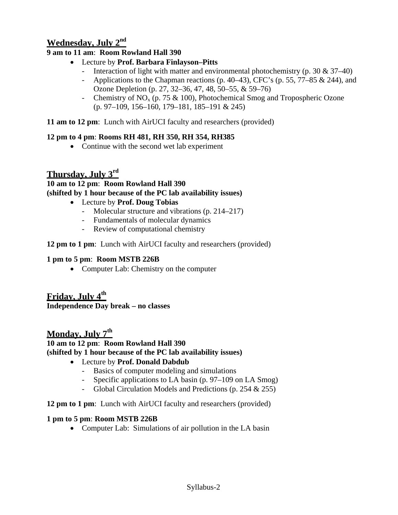# **Wednesday, July 2nd**

# **9 am to 11 am**: **Room Rowland Hall 390**

- Lecture by **Prof. Barbara Finlayson–Pitts**
	- Interaction of light with matter and environmental photochemistry (p. 30  $\&$  37–40)
	- Applications to the Chapman reactions  $(p. 40-43)$ , CFC's  $(p. 55, 77-85 \& 244)$ , and Ozone Depletion (p. 27, 32–36, 47, 48, 50–55, & 59–76)
	- Chemistry of  $NO<sub>x</sub>$  (p. 75 & 100), Photochemical Smog and Tropospheric Ozone (p. 97–109, 156–160, 179–181, 185–191 & 245)

**11 am to 12 pm**: Lunch with AirUCI faculty and researchers (provided)

# **12 pm to 4 pm**: **Rooms RH 481, RH 350, RH 354, RH385**

• Continue with the second wet lab experiment

# **Thursday, July 3rd**

**10 am to 12 pm**: **Room Rowland Hall 390 (shifted by 1 hour because of the PC lab availability issues)** 

- Lecture by **Prof. Doug Tobias**
	- Molecular structure and vibrations (p. 214–217)
	- Fundamentals of molecular dynamics
	- Review of computational chemistry

**12 pm to 1 pm**: Lunch with AirUCI faculty and researchers (provided)

# **1 pm to 5 pm**: **Room MSTB 226B**

• Computer Lab: Chemistry on the computer

# **Friday, July 4th**

**Independence Day break – no classes** 

# **Monday, July 7th**

### **10 am to 12 pm**: **Room Rowland Hall 390 (shifted by 1 hour because of the PC lab availability issues)**

# • Lecture by **Prof. Donald Dabdub**

- Basics of computer modeling and simulations
- Specific applications to LA basin (p. 97–109 on LA Smog)
- Global Circulation Models and Predictions (p. 254 & 255)

**12 pm to 1 pm**: Lunch with AirUCI faculty and researchers (provided)

# **1 pm to 5 pm**: **Room MSTB 226B**

• Computer Lab: Simulations of air pollution in the LA basin